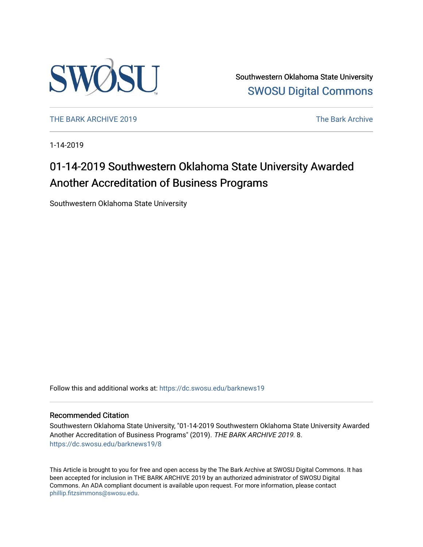

Southwestern Oklahoma State University [SWOSU Digital Commons](https://dc.swosu.edu/) 

[THE BARK ARCHIVE 2019](https://dc.swosu.edu/barknews19) The Bark Archive

1-14-2019

# 01-14-2019 Southwestern Oklahoma State University Awarded Another Accreditation of Business Programs

Southwestern Oklahoma State University

Follow this and additional works at: [https://dc.swosu.edu/barknews19](https://dc.swosu.edu/barknews19?utm_source=dc.swosu.edu%2Fbarknews19%2F8&utm_medium=PDF&utm_campaign=PDFCoverPages)

#### Recommended Citation

Southwestern Oklahoma State University, "01-14-2019 Southwestern Oklahoma State University Awarded Another Accreditation of Business Programs" (2019). THE BARK ARCHIVE 2019. 8. [https://dc.swosu.edu/barknews19/8](https://dc.swosu.edu/barknews19/8?utm_source=dc.swosu.edu%2Fbarknews19%2F8&utm_medium=PDF&utm_campaign=PDFCoverPages) 

This Article is brought to you for free and open access by the The Bark Archive at SWOSU Digital Commons. It has been accepted for inclusion in THE BARK ARCHIVE 2019 by an authorized administrator of SWOSU Digital Commons. An ADA compliant document is available upon request. For more information, please contact [phillip.fitzsimmons@swosu.edu](mailto:phillip.fitzsimmons@swosu.edu).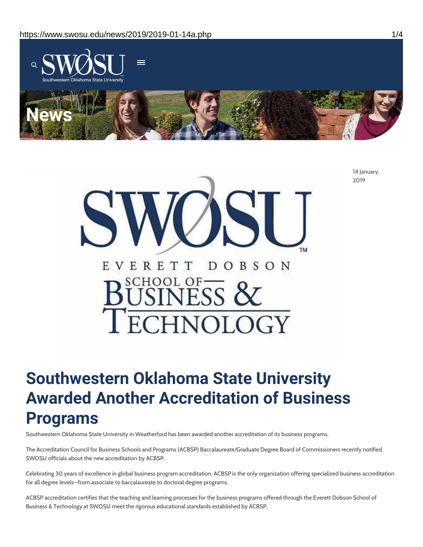



# **Southwestern Oklahoma State University Awarded Another Accreditation of Business Programs**

Southwestern Oklahoma State University in Weatherford has been awarded another accreditation of its business programs.

The Accreditation Council for Business Schools and Programs (ACBSP) Baccalaureate/Graduate Degree Board of Commissioners recently notified SWOSU officials about the new accreditation by ACBSP.

Celebrating 30 years of excellence in global business program accreditation, ACBSP is the only organization offering specialized business accreditation for all degree levels—from associate to baccalaureate to doctoral degree programs.

ACBSP accreditation certifies that the teaching and learning processes for the business programs offered through the Everett Dobson School of Business & Technology at SWOSU meet the rigorous educational standards established by ACBSP.

14 January, 2019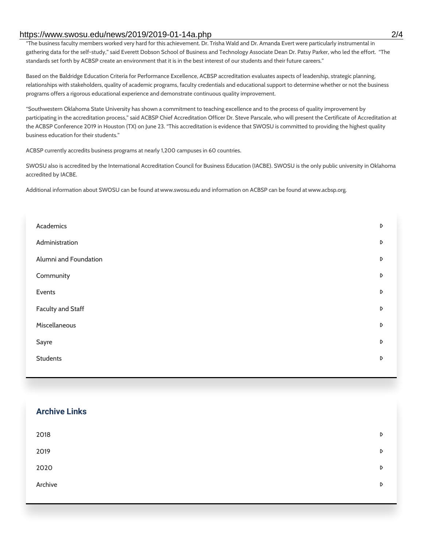#### https://www.swosu.edu/news/2019/2019-01-14a.php 2/4

"The business faculty members worked very hard for this achievement. Dr. Trisha Wald and Dr. Amanda Evert were particularly instrumental in gathering data for the self-study," said Everett Dobson School of Business and Technology Associate Dean Dr. Patsy Parker, who led the effort. "The standards set forth by ACBSP create an environment that it is in the best interest of our students and their future careers."

Based on the Baldridge Education Criteria for Performance Excellence, ACBSP accreditation evaluates aspects of leadership, strategic planning, relationships with stakeholders, quality of academic programs, faculty credentials and educational support to determine whether or not the business programs offers a rigorous educational experience and demonstrate continuous quality improvement.

"Southwestern Oklahoma State University has shown a commitment to teaching excellence and to the process of quality improvement by participating in the accreditation process," said ACBSP Chief Accreditation Officer Dr. Steve Parscale, who will present the Certificate of Accreditation at the ACBSP Conference 2019 in Houston (TX) on June 23. "This accreditation is evidence that SWOSU is committed to providing the highest quality business education for their students."

ACBSP currently accredits business programs at nearly 1,200 campuses in 60 countries.

SWOSU also is accredited by the International Accreditation Council for Business Education (IACBE). SWOSU is the only public university in Oklahoma accredited by IACBE.

Additional information about SWOSU can be found at www.swosu.edu and information on ACBSP can be found at www.acbsp.org.

| Academics                | D |
|--------------------------|---|
| Administration           | D |
| Alumni and Foundation    | D |
| Community                | D |
| Events                   | D |
| <b>Faculty and Staff</b> | D |
| Miscellaneous            | D |
| Sayre                    | D |
| <b>Students</b>          | D |
|                          |   |

# **Archive Links**

| 2018    | $\triangleright$ |
|---------|------------------|
| 2019    | D                |
| 2020    | D                |
| Archive | $\triangleright$ |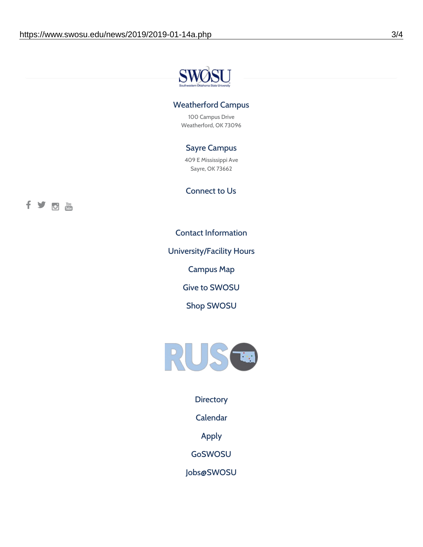

### Weatherford Campus

100 Campus Drive Weatherford, OK 73096

## Sayre Campus

409 E Mississippi Ave Sayre, OK 73662

Connect to Us



Contact [Information](https://www.swosu.edu/about/contact.php)

[University/Facility](https://www.swosu.edu/about/operating-hours.php) Hours

[Campus](https://map.concept3d.com/?id=768#!ct/10964,10214,10213,10212,10205,10204,10203,10202,10136,10129,10128,0,31226,10130,10201,10641,0) Map

Give to [SWOSU](https://standingfirmly.com/donate)

Shop [SWOSU](https://shopswosu.merchorders.com/)



**[Directory](https://www.swosu.edu/directory/index.php)** 

[Calendar](https://eventpublisher.dudesolutions.com/swosu/)

[Apply](https://www.swosu.edu/admissions/apply-to-swosu.php)

[GoSWOSU](https://qlsso.quicklaunchsso.com/home/1267)

[Jobs@SWOSU](https://swosu.csod.com/ux/ats/careersite/1/home?c=swosu)